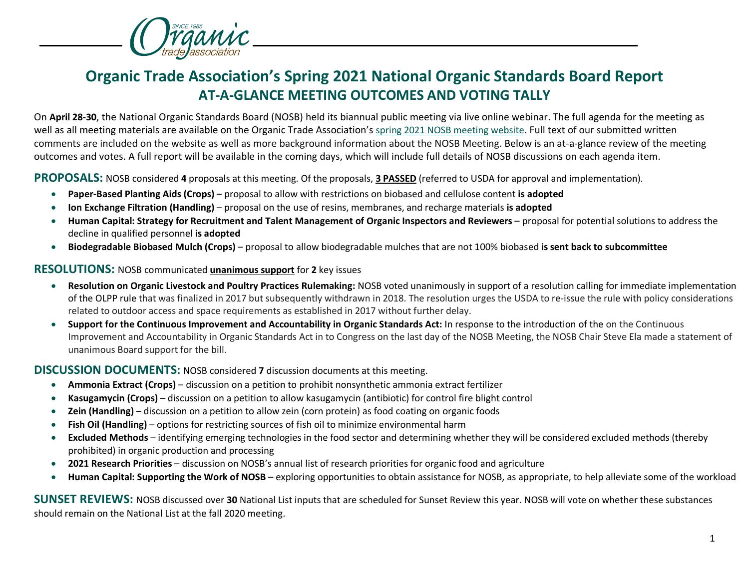

## **Organic Trade Association's Spring 2021 National Organic Standards Board Report AT-A-GLANCE MEETING OUTCOMES AND VOTING TALLY**

On **April 28-30**, the National Organic Standards Board (NOSB) held its biannual public meeting via live online webinar. The full agenda for the meeting as well as all meeting materials are available on the Organic Trade Association's [spring 2021 NOSB meeting website.](https://ota.com/advocacy/organic-standards/national-organic-standards-board/nosb-spring-2021-meeting) Full text of our submitted written comments are included on the website as well as more background information about the NOSB Meeting. Below is an at-a-glance review of the meeting outcomes and votes. A full report will be available in the coming days, which will include full details of NOSB discussions on each agenda item.

**PROPOSALS:** NOSB considered **4** proposals at this meeting. Of the proposals, **3 PASSED** (referred to USDA for approval and implementation).

- **Paper-Based Planting Aids (Crops)**  proposal to allow with restrictions on biobased and cellulose content **is adopted**
- **Ion Exchange Filtration (Handling)**  proposal on the use of resins, membranes, and recharge materials **is adopted**
- Human Capital: Strategy for Recruitment and Talent Management of Organic Inspectors and Reviewers proposal for potential solutions to address the decline in qualified personnel **is adopted**
- **Biodegradable Biobased Mulch (Crops)** proposal to allow biodegradable mulches that are not 100% biobased **is sent back to subcommittee**

## **RESOLUTIONS:** NOSB communicated **unanimous support** for **2** key issues

- **Resolution on Organic Livestock and Poultry Practices Rulemaking:** NOSB voted unanimously in support of a resolution calling for immediate implementation of the OLPP rule that was finalized in 2017 but subsequently withdrawn in 2018. The resolution urges the USDA to re-issue the rule with policy considerations related to outdoor access and space requirements as established in 2017 without further delay.
- **Support for the Continuous Improvement and Accountability in Organic Standards Act:** In response to the introduction of the on the Continuous Improvement and Accountability in Organic Standards Act in to Congress on the last day of the NOSB Meeting, the NOSB Chair Steve Ela made a statement of unanimous Board support for the bill.

## **DISCUSSION DOCUMENTS:** NOSB considered **7** discussion documents at this meeting.

- **Ammonia Extract (Crops)**  discussion on a petition to prohibit nonsynthetic ammonia extract fertilizer
- **Kasugamycin (Crops)** discussion on a petition to allow kasugamycin (antibiotic) for control fire blight control
- **Zein (Handling)** discussion on a petition to allow zein (corn protein) as food coating on organic foods
- **Fish Oil (Handling)**  options for restricting sources of fish oil to minimize environmental harm
- **Excluded Methods**  identifying emerging technologies in the food sector and determining whether they will be considered excluded methods (thereby prohibited) in organic production and processing
- **2021 Research Priorities**  discussion on NOSB's annual list of research priorities for organic food and agriculture
- **Human Capital: Supporting the Work of NOSB**  exploring opportunities to obtain assistance for NOSB, as appropriate, to help alleviate some of the workload

**SUNSET REVIEWS:** NOSB discussed over **30** National List inputs that are scheduled for Sunset Review this year. NOSB will vote on whether these substances should remain on the National List at the fall 2020 meeting.